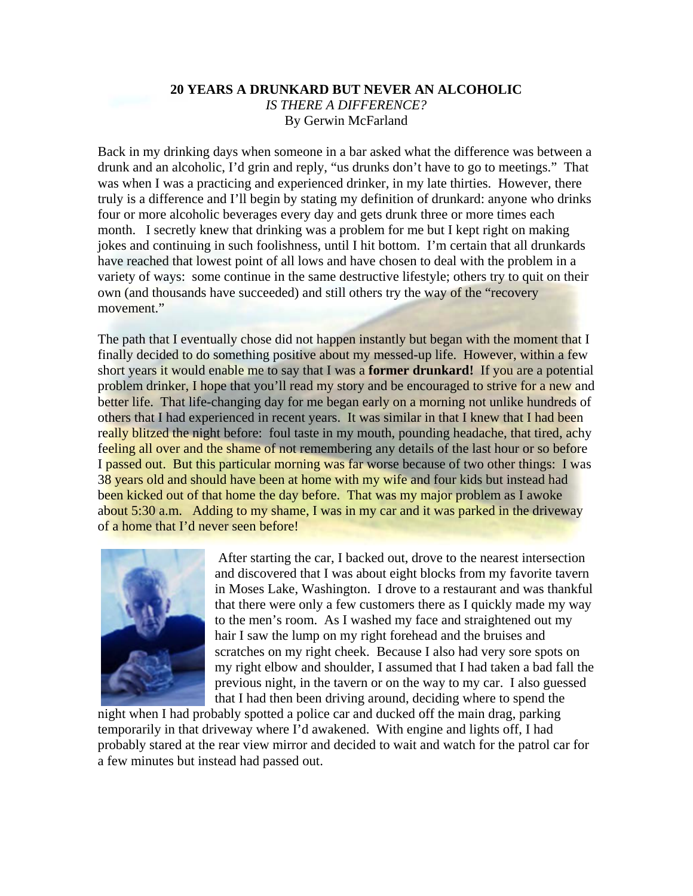# **20 YEARS A DRUNKARD BUT NEVER AN ALCOHOLIC**  *IS THERE A DIFFERENCE?*  By Gerwin McFarland

Back in my drinking days when someone in a bar asked what the difference was between a drunk and an alcoholic, I'd grin and reply, "us drunks don't have to go to meetings." That was when I was a practicing and experienced drinker, in my late thirties. However, there truly is a difference and I'll begin by stating my definition of drunkard: anyone who drinks four or more alcoholic beverages every day and gets drunk three or more times each month. I secretly knew that drinking was a problem for me but I kept right on making jokes and continuing in such foolishness, until I hit bottom. I'm certain that all drunkards have reached that lowest point of all lows and have chosen to deal with the problem in a variety of ways: some continue in the same destructive lifestyle; others try to quit on their own (and thousands have succeeded) and still others try the way of the "recovery movement."

The path that I eventually chose did not happen instantly but began with the moment that I finally decided to do something positive about my messed-up life. However, within a few short years it would enable me to say that I was a **former drunkard!** If you are a potential problem drinker, I hope that you'll read my story and be encouraged to strive for a new and better life. That life-changing day for me began early on a morning not unlike hundreds of others that I had experienced in recent years. It was similar in that I knew that I had been really blitzed the night before: foul taste in my mouth, pounding headache, that tired, achy feeling all over and the shame of not remembering any details of the last hour or so before I passed out. But this particular morning was far worse because of two other things: I was 38 years old and should have been at home with my wife and four kids but instead had been kicked out of that home the day before. That was my major problem as I awoke about 5:30 a.m. Adding to my shame, I was in my car and it was parked in the driveway of a home that I'd never seen before!



 After starting the car, I backed out, drove to the nearest intersection and discovered that I was about eight blocks from my favorite tavern in Moses Lake, Washington. I drove to a restaurant and was thankful that there were only a few customers there as I quickly made my way to the men's room. As I washed my face and straightened out my hair I saw the lump on my right forehead and the bruises and scratches on my right cheek. Because I also had very sore spots on my right elbow and shoulder, I assumed that I had taken a bad fall the previous night, in the tavern or on the way to my car. I also guessed that I had then been driving around, deciding where to spend the

night when I had probably spotted a police car and ducked off the main drag, parking temporarily in that driveway where I'd awakened. With engine and lights off, I had probably stared at the rear view mirror and decided to wait and watch for the patrol car for a few minutes but instead had passed out.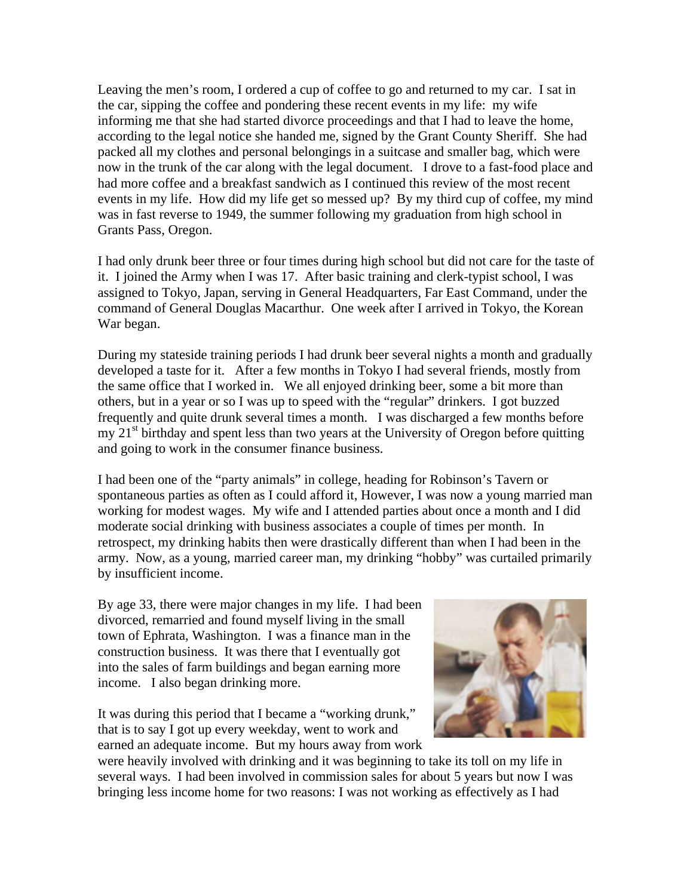Leaving the men's room, I ordered a cup of coffee to go and returned to my car. I sat in the car, sipping the coffee and pondering these recent events in my life: my wife informing me that she had started divorce proceedings and that I had to leave the home, according to the legal notice she handed me, signed by the Grant County Sheriff. She had packed all my clothes and personal belongings in a suitcase and smaller bag, which were now in the trunk of the car along with the legal document. I drove to a fast-food place and had more coffee and a breakfast sandwich as I continued this review of the most recent events in my life. How did my life get so messed up? By my third cup of coffee, my mind was in fast reverse to 1949, the summer following my graduation from high school in Grants Pass, Oregon.

I had only drunk beer three or four times during high school but did not care for the taste of it. I joined the Army when I was 17. After basic training and clerk-typist school, I was assigned to Tokyo, Japan, serving in General Headquarters, Far East Command, under the command of General Douglas Macarthur. One week after I arrived in Tokyo, the Korean War began.

During my stateside training periods I had drunk beer several nights a month and gradually developed a taste for it. After a few months in Tokyo I had several friends, mostly from the same office that I worked in. We all enjoyed drinking beer, some a bit more than others, but in a year or so I was up to speed with the "regular" drinkers. I got buzzed frequently and quite drunk several times a month. I was discharged a few months before  $mv$   $21<sup>st</sup>$  birthday and spent less than two years at the University of Oregon before quitting and going to work in the consumer finance business.

I had been one of the "party animals" in college, heading for Robinson's Tavern or spontaneous parties as often as I could afford it, However, I was now a young married man working for modest wages. My wife and I attended parties about once a month and I did moderate social drinking with business associates a couple of times per month. In retrospect, my drinking habits then were drastically different than when I had been in the army. Now, as a young, married career man, my drinking "hobby" was curtailed primarily by insufficient income.

By age 33, there were major changes in my life. I had been divorced, remarried and found myself living in the small town of Ephrata, Washington. I was a finance man in the construction business. It was there that I eventually got into the sales of farm buildings and began earning more income. I also began drinking more.

It was during this period that I became a "working drunk," that is to say I got up every weekday, went to work and earned an adequate income. But my hours away from work



were heavily involved with drinking and it was beginning to take its toll on my life i n several ways. I had been involved in commission sales for about 5 years but now I was bringing less income home for two reasons: I was not working as effectively as I had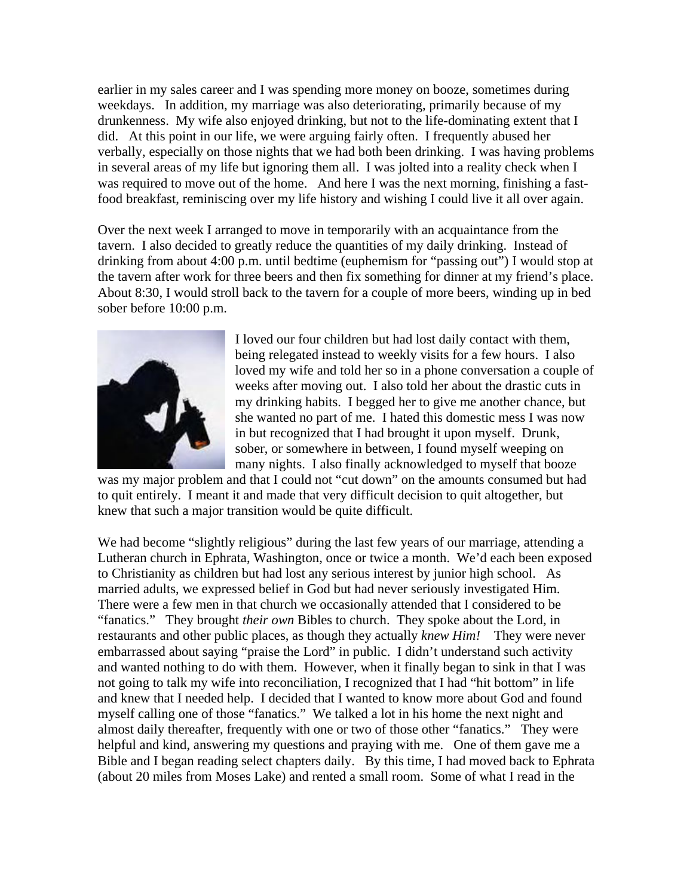earlier in my sales career and I was spending more money on booze, sometimes durin g weekdays. In addition, my marriage was also deteriorating, primarily because of my drunkenness. My wife also enjoyed drinking, but not to the life-dominating extent that I did. At this point in our life, we were arguing fairly often. I frequently abused her verbally, especially on those nights that we had both been drinking. I was having probl ems in several areas of my life but ignoring them all. I was jolted into a reality check when I was required to move out of the home. And here I was the next morning, finishing a fastfood breakfast, reminiscing over my life history and wish ing I could live it all over again.

Over the next week I arranged to move in temporarily with an acquaintance from the tavern. I also decided to greatly reduce the quantities of my daily drinking. Instead of drinking from about 4:00 p.m. until bedtime (euphemism for "passing out") I would stop at the tavern after work for three beers and then fix something for dinner at my friend's place. About 8:30, I would stroll back to the tavern for a couple of more beers, winding up in bed sober before 10:00 p.m.



I loved our four children but had lost daily contact with them, being relegated instead to weekly visits for a few hours. I also loved my wife and told her so in a phone conversation a couple of weeks after moving out. I also told her about the drastic cuts in my drinking habits. I begged her to give me another chance, but she wanted no part of me. I hated this domestic mess I was now in but recognized that I had brought it upon myself. Drunk, sober, or somewhere in between, I found myself weeping on many nights. I also finally acknowledged to myself that booze

knew that such a major transition would be quite difficult. was my major problem and that I could not "cut down" on the amounts consumed but had to quit entirely. I meant it and made that very difficult decision to quit altogether, but

We had become "slightly religious" during the last few years of our marriage, attending a Lutheran church in Ephrata, Washington, once or twice a month. We'd each been exposed to Christianity as children but had lost any serious interest by junior high school. As married adults, we expressed belief in God but had never seriously investigated Him. There were a few men in that church we occasionally attended that I considered to be "fanatics." They brought *their own* Bibles to church. They spoke about the Lord, in restaurants and other public places, as though they actually *knew Him!* They were never embarrassed about saying "praise the Lord" in public. I didn't understand such activity and wanted nothing to do with them. However, when it finally began to sink in that I was not going to talk my wife into reconciliation, I recognized that I had "hit bottom" in life and knew that I needed help. I decided that I wanted to know more about God and found myself calling one of those "fanatics." We talked a lot in his home the next night and almost daily thereafter, frequently with one or two of those other "fanatics." They were helpful and kind, answering my questions and praying with me. One of them gave me a Bible and I began reading select chapters daily. By this time, I had moved back to Ephrata (about 20 miles from Moses Lake) and rented a small room. Some of what I read in the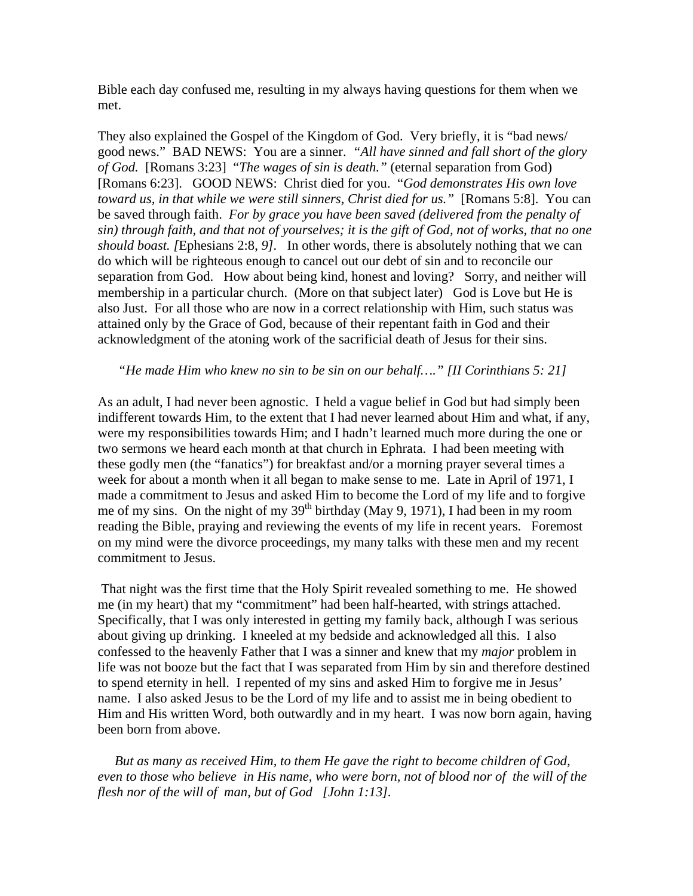Bible each day confused me, resulting in my always having questions for them when we met.

They also explained the Gospel of the Kingdom of God. Very briefly, it is "bad news/ good news." BAD NEWS: You are a sinner. *"All have sinned and fall short of the glory of God.* [Romans 3:23] "*The wages of sin is death."* (eternal separation from God) [Romans 6:23]. GOOD NEWS: Christ died for you. "*God demonstrates His own love toward us, in that while we were still sinners, Christ died for us.*" [Romans 5:8]. You can be saved through faith. *For by grace you have been saved (delivered from the penalty of sin) through faith, and that not of yourselves; it is the gift of God, not of works, that no one should boast. [*Ephesians 2:8, *9].* In other words, there is absolutely nothing that we can do which will be righteous enough to cancel out our debt of sin and to reconcile our separation from God. How about being kind, honest and loving? Sorry, and neither will membership in a particular church. (More on that subject later) God is Love but He is also Just. For all those who are now in a correct relationship with Him, such status was attained only by the Grace of God, because of their repentant faith in God and their acknowledgment of the atoning work of the sacrificial death of Jesus for their sins.

#### *"He made Him who knew no sin to be sin on our behalf…." [II Corinthians 5: 21]*

As an adult, I had never been agnostic. I held a vague belief in God but had simply been indifferent towards Him, to the extent that I had never learned about Him and what, if any, were my responsibilities towards Him; and I hadn't learned much more during the one or two sermons we heard each month at that church in Ephrata. I had been meeting with these godly men (the "fanatics") for breakfast and/or a morning prayer several times a week for about a month when it all began to make sense to me. Late in April of 1971, I made a commitment to Jesus and asked Him to become the Lord of my life and to forgive me of my sins. On the night of my  $39<sup>th</sup>$  birthday (May 9, 1971), I had been in my room reading the Bible, praying and reviewing the events of my life in recent years. Foremost on my mind were the divorce proceedings, my many talks with these men and my recent commitment to Jesus.

 That night was the first time that the Holy Spirit revealed something to me. He showed me (in my heart) that my "commitment" had been half-hearted, with strings attached. Specifically, that I was only interested in getting my family back, although I was serious about giving up drinking. I kneeled at my bedside and acknowledged all this. I also confessed to the heavenly Father that I was a sinner and knew that my *major* problem in life was not booze but the fact that I was separated from Him by sin and therefore destined to spend eternity in hell. I repented of my sins and asked Him to forgive me in Jesus' name. I also asked Jesus to be the Lord of my life and to assist me in being obedient to Him and His written Word, both outwardly and in my heart. I was now born again, having been born from above.

 *But as many as received Him, to them He gave the right to become children of God, even to those who believe in His name, who were born, not of blood nor of the will of the flesh nor of the will of man, but of God [John 1:13].*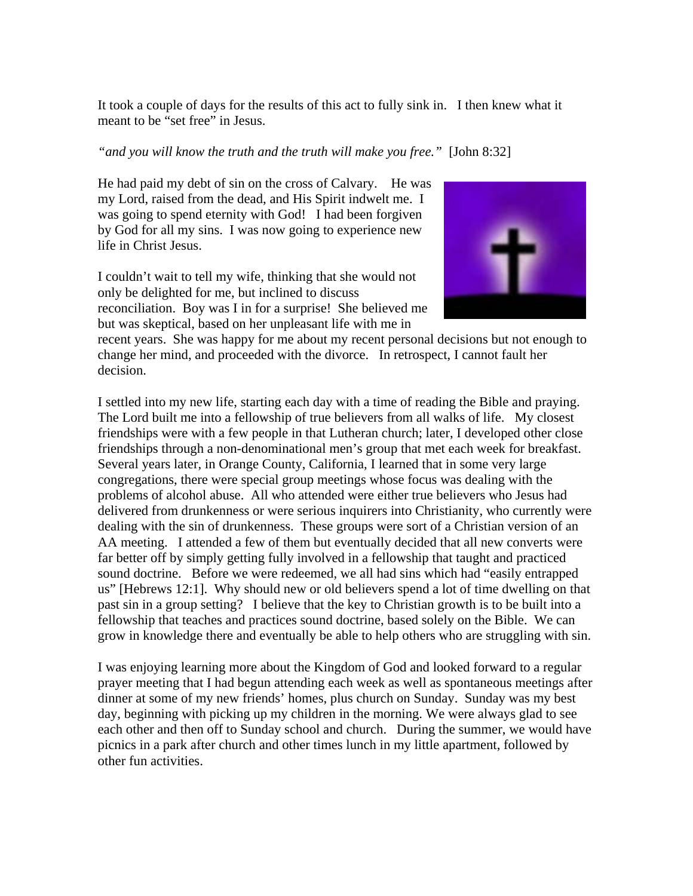It took a couple of days for the results of this act to fully sink in. I then knew what it meant to be "set free" in Jesus.

### *"and you will know the truth and the truth will make you free."* [John 8:32]

He had paid my debt of sin on the cross of Calvary. He was my Lord, raised from the dead, and His Spirit indwelt me. I was going to spend eternity with God! I had been forgiven by God for all my sins. I was now going to experience new life in Christ Jesus.

I couldn't wait to tell my wife, thinking that she would not only be delighted for me, but inclined to discuss reconciliation. Boy was I in for a surprise! She believed me but was skeptical, based on her unpleasant life with me in



recent years. She was happy for me about my recent personal decisions but not enough to change her mind, and proceeded with the divorce. In retrospect, I cannot fault her decision.

I settled into my new life, starting each day with a time of reading the Bible and praying. The Lord built me into a fellowship of true believers from all walks of life. My closest friendships were with a few people in that Lutheran church; later, I developed other close friendships through a non-denominational men's group that met each week for breakfast. Several years later, in Orange County, California, I learned that in some very large congregations, there were special group meetings whose focus was dealing with the problems of alcohol abuse. All who attended were either true believers who Jesus had delivered from drunkenness or were serious inquirers into Christianity, who currently were dealing with the sin of drunkenness. These groups were sort of a Christian version of an AA meeting. I attended a few of them but eventually decided that all new converts were far better off by simply getting fully involved in a fellowship that taught and practiced sound doctrine. Before we were redeemed, we all had sins which had "easily entrapped us" [Hebrews 12:1]. Why should new or old believers spend a lot of time dwelling on that past sin in a group setting? I believe that the key to Christian growth is to be built into a fellowship that teaches and practices sound doctrine, based solely on the Bible. We can grow in knowledge there and eventually be able to help others who are struggling with sin.

I was enjoying learning more about the Kingdom of God and looked forward to a regular prayer meeting that I had begun attending each week as well as spontaneous meetings after dinner at some of my new friends' homes, plus church on Sunday. Sunday was my best day, beginning with picking up my children in the morning. We were always glad to see each other and then off to Sunday school and church. During the summer, we would have picnics in a park after church and other times lunch in my little apartment, followed by other fun activities.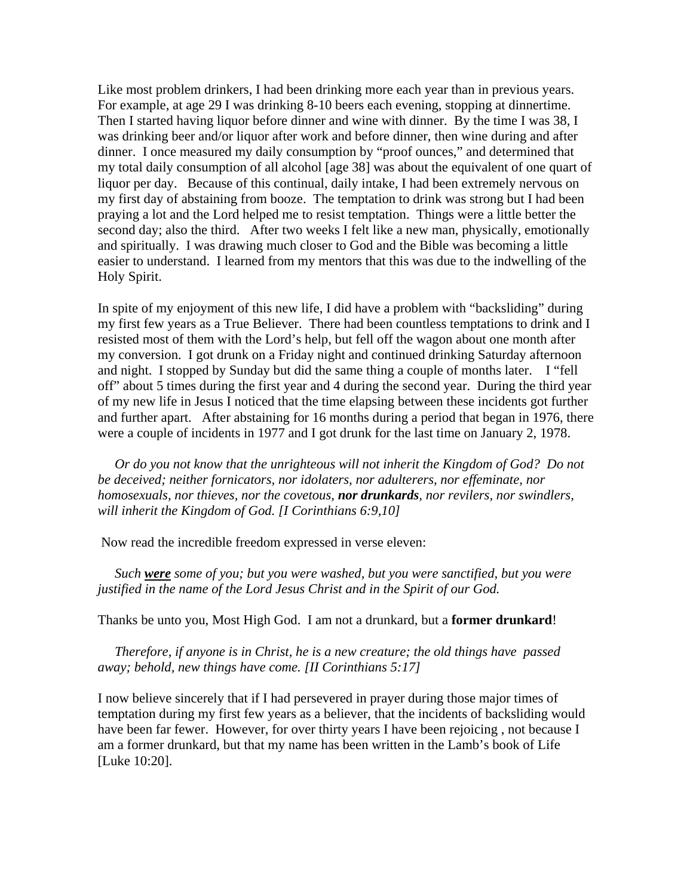Like most problem drinkers, I had been drinking more each year than in previous years. For example, at age 29 I was drinking 8-10 beers each evening, stopping at dinnertime. Then I started having liquor before dinner and wine with dinner. By the time I was 38, I was drinking beer and/or liquor after work and before dinner, then wine during and after dinner. I once measured my daily consumption by "proof ounces," and determined that my total daily consumption of all alcohol [age 38] was about the equivalent of one quart of liquor per day. Because of this continual, daily intake, I had been extremely nervous on my first day of abstaining from booze. The temptation to drink was strong but I had been praying a lot and the Lord helped me to resist temptation. Things were a little better the second day; also the third. After two weeks I felt like a new man, physically, emotionally and spiritually. I was drawing much closer to God and the Bible was becoming a little easier to understand. I learned from my mentors that this was due to the indwelling of the Holy Spirit.

In spite of my enjoyment of this new life, I did have a problem with "backsliding" during my first few years as a True Believer. There had been countless temptations to drink and I resisted most of them with the Lord's help, but fell off the wagon about one month after my conversion. I got drunk on a Friday night and continued drinking Saturday afternoon and night. I stopped by Sunday but did the same thing a couple of months later. I "fell off" about 5 times during the first year and 4 during the second year. During the third year of my new life in Jesus I noticed that the time elapsing between these incidents got further and further apart. After abstaining for 16 months during a period that began in 1976, there were a couple of incidents in 1977 and I got drunk for the last time on January 2, 1978.

 *Or do you not know that the unrighteous will not inherit the Kingdom of God? Do not be deceived; neither fornicators, nor idolaters, nor adulterers, nor effeminate, nor homosexuals, nor thieves, nor the covetous, nor drunkards, nor revilers, nor swindlers, will inherit the Kingdom of God. [I Corinthians 6:9,10]* 

Now read the incredible freedom expressed in verse eleven:

 *Such were some of you; but you were washed, but you were sanctified, but you were justified in the name of the Lord Jesus Christ and in the Spirit of our God.* 

Thanks be unto you, Most High God. I am not a drunkard, but a **former drunkard**!

 *Therefore, if anyone is in Christ, he is a new creature; the old things have passed away; behold, new things have come. [II Corinthians 5:17]* 

I now believe sincerely that if I had persevered in prayer during those major times of temptation during my first few years as a believer, that the incidents of backsliding would have been far fewer. However, for over thirty years I have been rejoicing , not because I am a former drunkard, but that my name has been written in the Lamb's book of Life [Luke 10:20].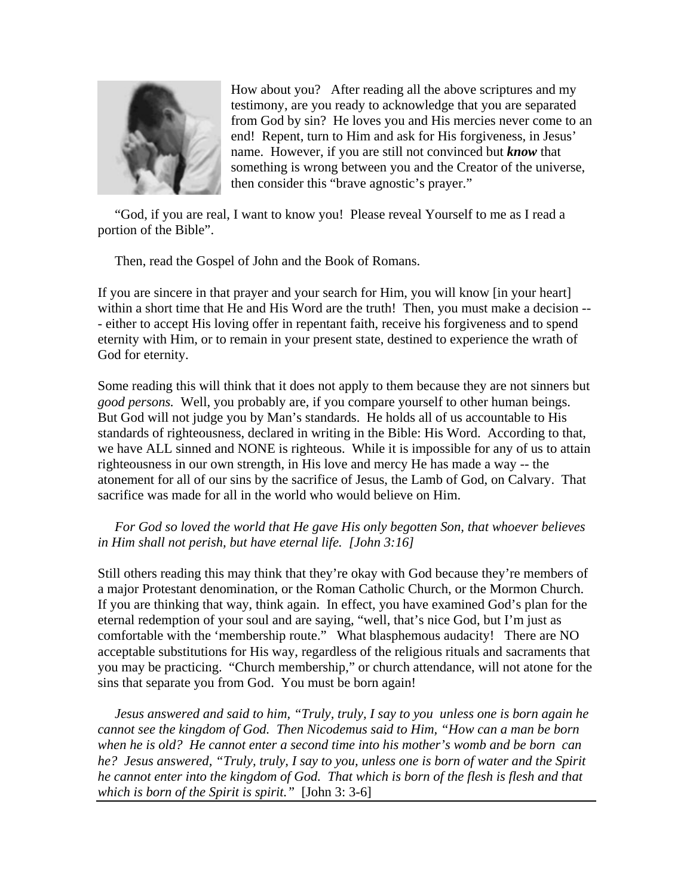

How about you? After reading all the above scriptures and my testimony, are you ready to acknowledge that you are separated from God by sin? He loves you and His mercies never come to an end! Repent, turn to Him and ask for His forgiveness, in Jesus' name. However, if you are still not convinced but *know* that something is wrong between you and the Creator of the universe, then consider this "brave agnostic's prayer."

 "God, if you are real, I want to know you! Please reveal Yourself to me as I read a portion of the Bible".

Then, read the Gospel of John and the Book of Romans.

If you are sincere in that prayer and your search for Him, you will know [in your heart] within a short time that He and His Word are the truth! Then, you must make a decision -- - either to accept His loving offer in repentant faith, receive his forgiveness and to spend eternity with Him, or to remain in your present state, destined to experience the wrath of God for eternity.

Some reading this will think that it does not apply to them because they are not sinners but *good persons.* Well, you probably are, if you compare yourself to other human beings. But God will not judge you by Man's standards. He holds all of us accountable to His standards of righteousness, declared in writing in the Bible: His Word. According to that, we have ALL sinned and NONE is righteous. While it is impossible for any of us to attain righteousness in our own strength, in His love and mercy He has made a way -- the atonement for all of our sins by the sacrifice of Jesus, the Lamb of God, on Calvary. That sacrifice was made for all in the world who would believe on Him.

 *For God so loved the world that He gave His only begotten Son, that whoever believes in Him shall not perish, but have eternal life. [John 3:16]*

Still others reading this may think that they're okay with God because they're members of a major Protestant denomination, or the Roman Catholic Church, or the Mormon Church. If you are thinking that way, think again. In effect, you have examined God's plan for the eternal redemption of your soul and are saying, "well, that's nice God, but I'm just as comfortable with the 'membership route." What blasphemous audacity! There are NO acceptable substitutions for His way, regardless of the religious rituals and sacraments that you may be practicing. "Church membership," or church attendance, will not atone for the sins that separate you from God. You must be born again!

 *Jesus answered and said to him, "Truly, truly, I say to you unless one is born again he cannot see the kingdom of God. Then Nicodemus said to Him, "How can a man be born when he is old? He cannot enter a second time into his mother's womb and be born can he? Jesus answered, "Truly, truly, I say to you, unless one is born of water and the Spirit he cannot enter into the kingdom of God. That which is born of the flesh is flesh and that which is born of the Spirit is spirit."* [John 3: 3-6]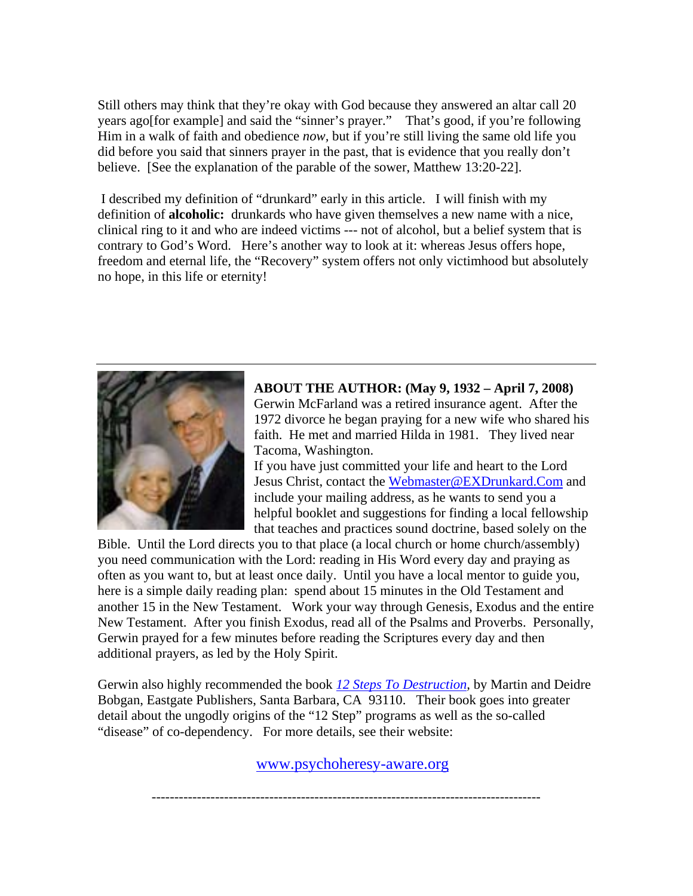Still others may think that they're okay with God because they answered an altar call 20 years ago[for example] and said the "sinner's prayer." That's good, if you're following Him in a walk of faith and obedience *now,* but if you're still living the same old life you did before you said that sinners prayer in the past, that is evidence that you really don't believe. [See the explanation of the parable of the sower, Matthew 13:20-22].

 I described my definition of "drunkard" early in this article. I will finish with my definition of **alcoholic:** drunkards who have given themselves a new name with a nice, clinical ring to it and who are indeed victims --- not of alcohol, but a belief system that is contrary to God's Word. Here's another way to look at it: whereas Jesus offers hope, freedom and eternal life, the "Recovery" system offers not only victimhood but absolutely no hope, in this life or eternity!



**ABOUT THE AUTHOR: (May 9, 1932 – April 7, 2008)**  Gerwin McFarland was a retired insurance agent. After the 1972 divorce he began praying for a new wife who shared his faith. He met and married Hilda in 1981. They lived near Tacoma, Washington.

If you have just committed your life and heart to the Lord Jesus Christ, contact the [Webmaster@EXDrunkard.Com](mailto:Webmaster@EXDrunkard.Com) and include your mailing address, as he wants to send you a helpful booklet and suggestions for finding a local fellowship that teaches and practices sound doctrine, based solely on the

Bible. Until the Lord directs you to that place (a local church or home church/assembly) you need communication with the Lord: reading in His Word every day and praying as often as you want to, but at least once daily. Until you have a local mentor to guide you, here is a simple daily reading plan: spend about 15 minutes in the Old Testament and another 15 in the New Testament. Work your way through Genesis, Exodus and the entire New Testament. After you finish Exodus, read all of the Psalms and Proverbs. Personally, Gerwin prayed for a few minutes before reading the Scriptures every day and then additional prayers, as led by the Holy Spirit.

Gerwin also highly recommended the book *[12 Steps To Destruction,](http://www.psychoheresy-aware.org/12stepsbk_online.html)* by Martin and Deidre Bobgan, Eastgate Publishers, Santa Barbara, CA 93110. Their book goes into greater detail about the ungodly origins of the "12 Step" programs as well as the so-called "disease" of co-dependency. For more details, see their website:

<www.psychoheresy-aware.org>

--------------------------------------------------------------------------------------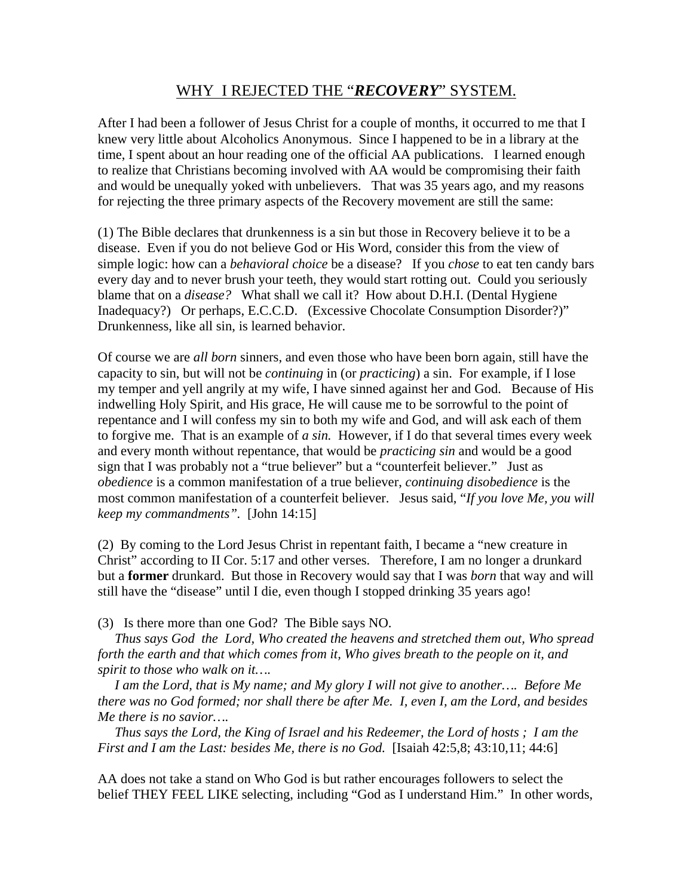# WHY I REJECTED THE "*RECOVERY*" SYSTEM.

After I had been a follower of Jesus Christ for a couple of months, it occurred to me that I knew very little about Alcoholics Anonymous. Since I happened to be in a library at the time, I spent about an hour reading one of the official AA publications. I learned enough to realize that Christians becoming involved with AA would be compromising their faith and would be unequally yoked with unbelievers. That was 35 years ago, and my reasons for rejecting the three primary aspects of the Recovery movement are still the same:

(1) The Bible declares that drunkenness is a sin but those in Recovery believe it to be a disease. Even if you do not believe God or His Word, consider this from the view of simple logic: how can a *behavioral choice* be a disease? If you *chose* to eat ten candy bars every day and to never brush your teeth, they would start rotting out. Could you seriously blame that on a *disease?* What shall we call it? How about D.H.I. (Dental Hygiene Inadequacy?) Or perhaps, E.C.C.D. (Excessive Chocolate Consumption Disorder?)" Drunkenness, like all sin, is learned behavior.

Of course we are *all born* sinners, and even those who have been born again, still have the capacity to sin, but will not be *continuing* in (or *practicing*) a sin. For example, if I lose my temper and yell angrily at my wife, I have sinned against her and God. Because of His indwelling Holy Spirit, and His grace, He will cause me to be sorrowful to the point of repentance and I will confess my sin to both my wife and God, and will ask each of them to forgive me. That is an example of *a sin.* However, if I do that several times every week and every month without repentance, that would be *practicing sin* and would be a good sign that I was probably not a "true believer" but a "counterfeit believer." Just as *obedience* is a common manifestation of a true believer, *continuing disobedience* is the most common manifestation of a counterfeit believer. Jesus said, "*If you love Me, you will keep my commandments".* [John 14:15]

(2) By coming to the Lord Jesus Christ in repentant faith, I became a "new creature in Christ" according to II Cor. 5:17 and other verses. Therefore, I am no longer a drunkard but a **former** drunkard. But those in Recovery would say that I was *born* that way and will still have the "disease" until I die, even though I stopped drinking 35 years ago!

(3) Is there more than one God? The Bible says NO.

 *Thus says God the Lord, Who created the heavens and stretched them out, Who spread forth the earth and that which comes from it, Who gives breath to the people on it, and spirit to those who walk on it….* 

 *I am the Lord, that is My name; and My glory I will not give to another…. Before Me there was no God formed; nor shall there be after Me. I, even I, am the Lord, and besides Me there is no savior….* 

 *Thus says the Lord, the King of Israel and his Redeemer, the Lord of hosts ; I am the First and I am the Last: besides Me, there is no God.* [Isaiah 42:5,8; 43:10,11; 44:6]

AA does not take a stand on Who God is but rather encourages followers to select the belief THEY FEEL LIKE selecting, including "God as I understand Him." In other words,